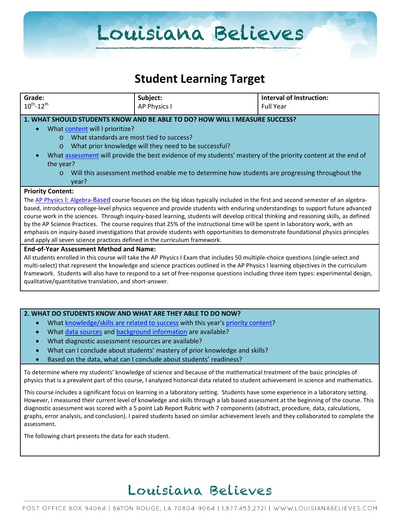### **Student Learning Target**

| Grade:<br>Subject:<br><b>Interval of Instruction:</b><br>$10^{th}$ -12 <sup>th</sup><br>AP Physics I<br><b>Full Year</b>                                                                                       |  |  |  |  |  |  |  |
|----------------------------------------------------------------------------------------------------------------------------------------------------------------------------------------------------------------|--|--|--|--|--|--|--|
|                                                                                                                                                                                                                |  |  |  |  |  |  |  |
|                                                                                                                                                                                                                |  |  |  |  |  |  |  |
| 1. WHAT SHOULD STUDENTS KNOW AND BE ABLE TO DO? HOW WILL I MEASURE SUCCESS?                                                                                                                                    |  |  |  |  |  |  |  |
| What content will I prioritize?                                                                                                                                                                                |  |  |  |  |  |  |  |
| What standards are most tied to success?<br>$\Omega$                                                                                                                                                           |  |  |  |  |  |  |  |
| What prior knowledge will they need to be successful?<br>$\circ$                                                                                                                                               |  |  |  |  |  |  |  |
| What assessment will provide the best evidence of my students' mastery of the priority content at the end of                                                                                                   |  |  |  |  |  |  |  |
| the year?                                                                                                                                                                                                      |  |  |  |  |  |  |  |
| Will this assessment method enable me to determine how students are progressing throughout the<br>$\Omega$                                                                                                     |  |  |  |  |  |  |  |
| year?                                                                                                                                                                                                          |  |  |  |  |  |  |  |
| <b>Priority Content:</b>                                                                                                                                                                                       |  |  |  |  |  |  |  |
| The AP Physics I: Algebra-Based course focuses on the big ideas typically included in the first and second semester of an algebra-                                                                             |  |  |  |  |  |  |  |
| based, introductory college-level physics sequence and provide students with enduring understandings to support future advanced                                                                                |  |  |  |  |  |  |  |
| course work in the sciences. Through inquiry-based learning, students will develop critical thinking and reasoning skills, as defined                                                                          |  |  |  |  |  |  |  |
| by the AP Science Practices. The course requires that 25% of the instructional time will be spent in laboratory work, with an                                                                                  |  |  |  |  |  |  |  |
| emphasis on inquiry-based investigations that provide students with opportunities to demonstrate foundational physics principles<br>and apply all seven science practices defined in the curriculum framework. |  |  |  |  |  |  |  |
| <b>End-of-Year Assessment Method and Name:</b>                                                                                                                                                                 |  |  |  |  |  |  |  |
| All students enrolled in this course will take the AP Physics I Exam that includes 50 multiple-choice questions (single-select and                                                                             |  |  |  |  |  |  |  |
| multi-select) that represent the knowledge and science practices outlined in the AP Physics I learning objectives in the curriculum                                                                            |  |  |  |  |  |  |  |
| framework. Students will also have to respond to a set of free-response questions including three item types: experimental design,                                                                             |  |  |  |  |  |  |  |
| qualitative/quantitative translation, and short-answer.                                                                                                                                                        |  |  |  |  |  |  |  |
|                                                                                                                                                                                                                |  |  |  |  |  |  |  |
|                                                                                                                                                                                                                |  |  |  |  |  |  |  |
| 2. WHAT DO STUDENTS KNOW AND WHAT ARE THEY ABLE TO DO NOW?                                                                                                                                                     |  |  |  |  |  |  |  |
| What knowledge/skills are related to success with this year's priority content?<br>$\bullet$                                                                                                                   |  |  |  |  |  |  |  |
| What data sources and background information are available?                                                                                                                                                    |  |  |  |  |  |  |  |
|                                                                                                                                                                                                                |  |  |  |  |  |  |  |
| What diagnostic assessment resources are available?                                                                                                                                                            |  |  |  |  |  |  |  |

• Based on the data, what can I conclude about students' readiness?

To determine where my students' knowledge of science and because of the mathematical treatment of the basic principles of physics that is a prevalent part of this course, I analyzed historical data related to student achievement in science and mathematics.

This course includes a significant focus on learning in a laboratory setting. Students have some experience in a laboratory setting. However, I measured their current level of knowledge and skills through a lab based assessment at the beginning of the course. This diagnostic assessment was scored with a 5 point Lab Report Rubric with 7 components (abstract, procedure, data, calculations, graphs, error analysis, and conclusion). I paired students based on similar achievement levels and they collaborated to complete the assessment.

The following chart presents the data for each student.

## Louisiana Believes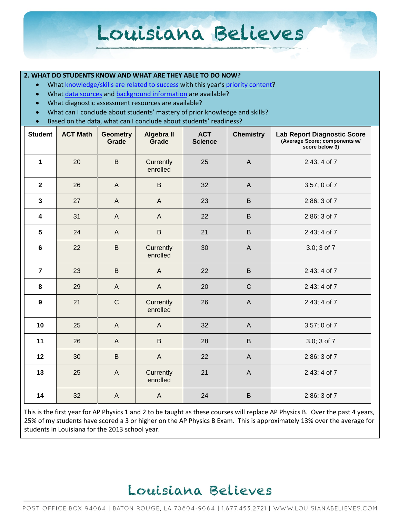#### **2. WHAT DO STUDENTS KNOW AND WHAT ARE THEY ABLE TO DO NOW?**

- Wha[t knowledge/skills are related to success](http://www.louisianabelieves.com/academics/2014-2015-curricular-package) with this year's [priority content?](http://www.louisianabelieves.com/resources/classroom-support-toolbox/teacher-support-toolbox/standards)
- Wha[t data sources](http://www.louisianabelieves.com/resources/classroom-support-toolbox/teacher-support-toolbox/student-achievement-results) and [background information](http://www.louisianabelieves.com/resources/library/data-center) are available?
- What diagnostic assessment resources are available?
- What can I conclude about students' mastery of prior knowledge and skills?
- Based on the data, what can I conclude about students' readiness?

| <b>Student</b>          | <b>ACT Math</b> | <b>Geometry</b><br>Grade | <b>Algebra II</b><br>Grade | <b>ACT</b><br><b>Science</b> | <b>Chemistry</b> | <b>Lab Report Diagnostic Score</b><br>(Average Score; components w/<br>score below 3) |
|-------------------------|-----------------|--------------------------|----------------------------|------------------------------|------------------|---------------------------------------------------------------------------------------|
| $\mathbf{1}$            | 20              | $\mathsf B$              | Currently<br>enrolled      | 25                           | $\overline{A}$   | 2.43; 4 of 7                                                                          |
| $\mathbf{2}$            | 26              | $\mathsf{A}$             | $\sf B$                    | 32                           | $\overline{A}$   | 3.57; 0 of 7                                                                          |
| $\mathbf{3}$            | 27              | $\mathsf{A}$             | $\mathsf{A}$               | 23                           | $\sf B$          | 2.86; 3 of 7                                                                          |
| $\overline{\mathbf{4}}$ | 31              | $\mathsf{A}$             | $\overline{A}$             | 22                           | $\sf B$          | 2.86; 3 of 7                                                                          |
| 5                       | 24              | $\mathsf{A}$             | $\sf B$                    | 21                           | $\sf B$          | 2.43; 4 of 7                                                                          |
| $\bf 6$                 | 22              | $\sf B$                  | Currently<br>enrolled      | 30                           | $\mathsf{A}$     | 3.0; 3 of 7                                                                           |
| $\overline{7}$          | 23              | B                        | $\overline{A}$             | 22                           | B                | 2.43; 4 of 7                                                                          |
| 8                       | 29              | $\mathsf{A}$             | $\overline{A}$             | 20                           | $\mathsf{C}$     | 2.43; 4 of 7                                                                          |
| 9                       | 21              | $\mathsf C$              | Currently<br>enrolled      | 26                           | $\mathsf{A}$     | 2.43; 4 of 7                                                                          |
| 10                      | 25              | $\mathsf{A}$             | $\mathsf{A}$               | 32                           | $\mathsf{A}$     | 3.57; 0 of 7                                                                          |
| 11                      | 26              | $\mathsf{A}$             | $\mathsf B$                | 28                           | $\sf B$          | 3.0; 3 of 7                                                                           |
| 12                      | 30              | B                        | $\mathsf{A}$               | 22                           | $\mathsf{A}$     | 2.86; 3 of 7                                                                          |
| 13                      | 25              | $\overline{A}$           | Currently<br>enrolled      | 21                           | $\mathsf{A}$     | 2.43; 4 of 7                                                                          |
| 14                      | 32              | $\overline{A}$           | $\overline{A}$             | 24                           | $\sf B$          | 2.86; 3 of 7                                                                          |

This is the first year for AP Physics 1 and 2 to be taught as these courses will replace AP Physics B. Over the past 4 years, 25% of my students have scored a 3 or higher on the AP Physics B Exam. This is approximately 13% over the average for students in Louisiana for the 2013 school year.

### Louisiana Believes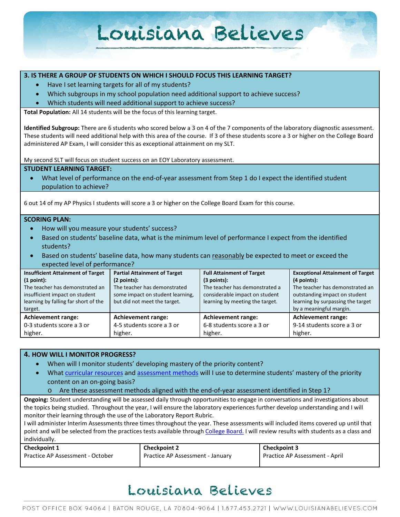#### **3. IS THERE A GROUP OF STUDENTS ON WHICH I SHOULD FOCUS THIS LEARNING TARGET?**

- Have I set learning targets for all of my students?
- Which subgroups in my school population need additional support to achieve success?
- Which students will need additional support to achieve success?

**Total Population:** All 14 students will be the focus of this learning target.

**Identified Subgroup:** There are 6 students who scored below a 3 on 4 of the 7 components of the laboratory diagnostic assessment. These students will need additional help with this area of the course. If 3 of these students score a 3 or higher on the College Board administered AP Exam, I will consider this as exceptional attainment on my SLT.

My second SLT will focus on student success on an EOY Laboratory assessment.

#### **STUDENT LEARNING TARGET:**

What level of performance on the end-of-year assessment from Step 1 do I expect the identified student population to achieve?

6 out 14 of my AP Physics I students will score a 3 or higher on the College Board Exam for this course.

#### **SCORING PLAN:**

- How will you measure your students' success?
- Based on students' baseline data, what is the minimum level of performance I expect from the identified students?
- Based on students' baseline data, how many students can reasonably be expected to meet or exceed the expected level of performance?

| <b>Insufficient Attainment of Target</b> | Partial Attainment of Target     | <b>Full Attainment of Target</b> | <b>Exceptional Attainment of Target</b> |
|------------------------------------------|----------------------------------|----------------------------------|-----------------------------------------|
| (1 point):                               | (2 points):                      | $(3$ points):                    | $(4$ points):                           |
| The teacher has demonstrated an          | The teacher has demonstrated     | The teacher has demonstrated a   | The teacher has demonstrated an         |
| insufficient impact on student           | some impact on student learning, | considerable impact on student   | outstanding impact on student           |
| learning by falling far short of the     | but did not meet the target.     | learning by meeting the target.  | learning by surpassing the target       |
| target.                                  |                                  |                                  | by a meaningful margin.                 |
| <b>Achievement range:</b>                | <b>Achievement range:</b>        | <b>Achievement range:</b>        | <b>Achievement range:</b>               |
| 0-3 students score a 3 or                | 4-5 students score a 3 or        | 6-8 students score a 3 or        | 9-14 students score a 3 or              |
| higher.                                  | higher.                          | higher.                          | higher.                                 |

#### **4. HOW WILL I MONITOR PROGRESS?**

- When will I monitor students' developing mastery of the priority content?
- Wha[t curricular resources](http://www.louisianabelieves.com/resources/library/year-long-scope-sequence) and [assessment methods](http://www.louisianabelieves.com/resources/classroom-support-toolbox/teacher-support-toolbox/end-of-year-assessments) will I use to determine students' mastery of the priority content on an on-going basis?

o Are these assessment methods aligned with the end-of-year assessment identified in Step 1?

**Ongoing:** Student understanding will be assessed daily through opportunities to engage in conversations and investigations about the topics being studied. Throughout the year, I will ensure the laboratory experiences further develop understanding and I will monitor their learning through the use of the Laboratory Report Rubric.

I will administer Interim Assessments three times throughout the year. These assessments will included items covered up until that point and will be selected from the practices tests available throug[h College Board.](http://advancesinap.collegeboard.org/math-and-science/physics) I will review results with students as a class and individually.

| <b>Checkpoint 1</b>              | <b>Checkpoint 2</b>              | Checkpoint 3                   |
|----------------------------------|----------------------------------|--------------------------------|
| Practice AP Assessment - October | Practice AP Assessment - January | Practice AP Assessment - April |

## Louisiana Believes